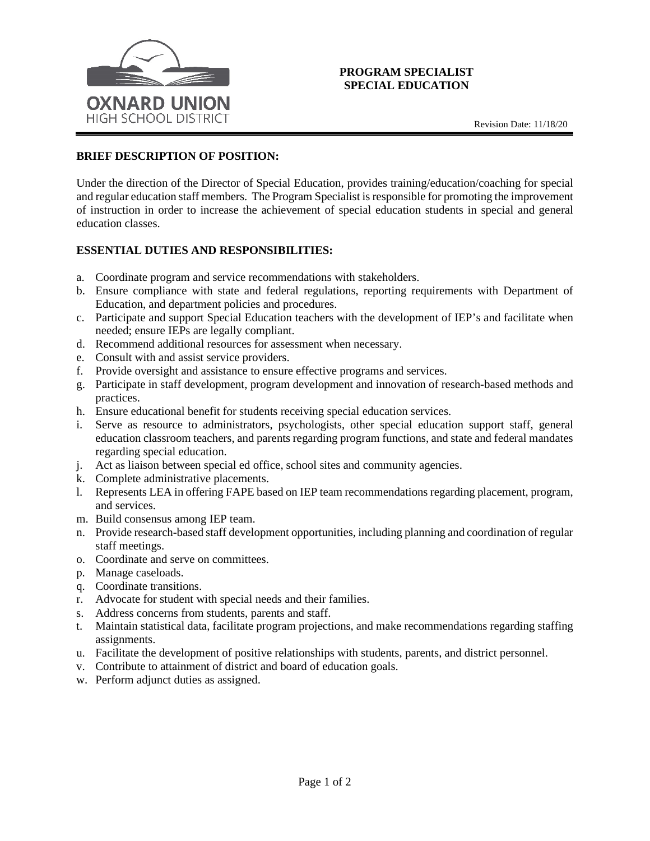

## **PROGRAM SPECIALIST SPECIAL EDUCATION**

## **BRIEF DESCRIPTION OF POSITION:**

Under the direction of the Director of Special Education, provides training/education/coaching for special and regular education staff members. The Program Specialist is responsible for promoting the improvement of instruction in order to increase the achievement of special education students in special and general education classes.

## **ESSENTIAL DUTIES AND RESPONSIBILITIES:**

- a. Coordinate program and service recommendations with stakeholders.
- b. Ensure compliance with state and federal regulations, reporting requirements with Department of Education, and department policies and procedures.
- c. Participate and support Special Education teachers with the development of IEP's and facilitate when needed; ensure IEPs are legally compliant.
- d. Recommend additional resources for assessment when necessary.
- e. Consult with and assist service providers.
- f. Provide oversight and assistance to ensure effective programs and services.
- g. Participate in staff development, program development and innovation of research-based methods and practices.
- h. Ensure educational benefit for students receiving special education services.
- i. Serve as resource to administrators, psychologists, other special education support staff, general education classroom teachers, and parents regarding program functions, and state and federal mandates regarding special education.
- j. Act as liaison between special ed office, school sites and community agencies.
- k. Complete administrative placements.
- l. Represents LEA in offering FAPE based on IEP team recommendations regarding placement, program, and services.
- m. Build consensus among IEP team.
- n. Provide research-based staff development opportunities, including planning and coordination of regular staff meetings.
- o. Coordinate and serve on committees.
- p. Manage caseloads.
- q. Coordinate transitions.
- r. Advocate for student with special needs and their families.
- s. Address concerns from students, parents and staff.
- t. Maintain statistical data, facilitate program projections, and make recommendations regarding staffing assignments.
- u. Facilitate the development of positive relationships with students, parents, and district personnel.
- v. Contribute to attainment of district and board of education goals.
- w. Perform adjunct duties as assigned.